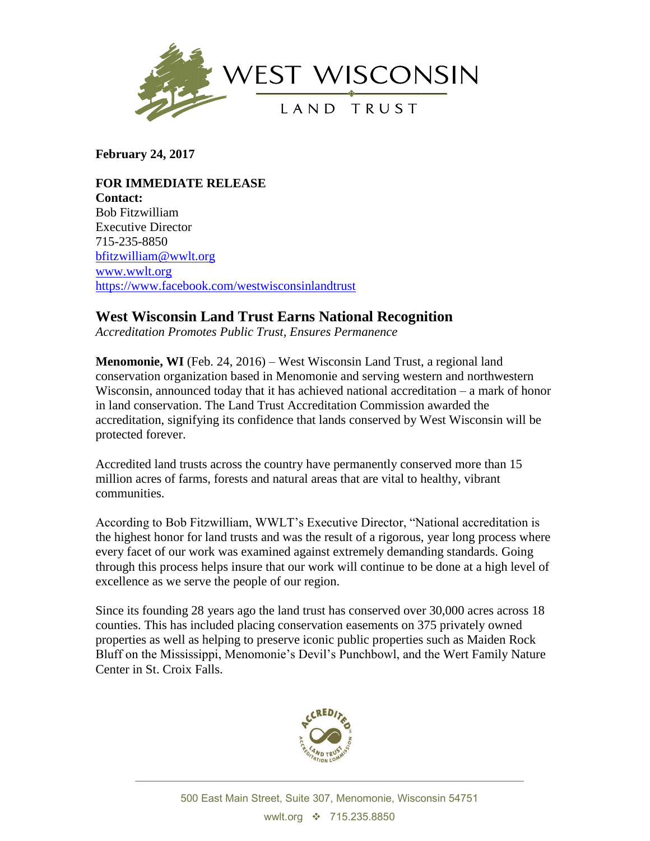

**February 24, 2017**

**FOR IMMEDIATE RELEASE Contact:** Bob Fitzwilliam Executive Director 715-235-8850 [bfitzwilliam@wwlt.org](mailto:bfitzwilliam@wwlt.org) [www.wwlt.org](http://www.wwlt.org/) <https://www.facebook.com/westwisconsinlandtrust>

## **West Wisconsin Land Trust Earns National Recognition**

*Accreditation Promotes Public Trust, Ensures Permanence*

**Menomonie, WI** (Feb. 24, 2016) – West Wisconsin Land Trust, a regional land conservation organization based in Menomonie and serving western and northwestern Wisconsin, announced today that it has achieved national accreditation – a mark of honor in land conservation. The Land Trust Accreditation Commission awarded the accreditation, signifying its confidence that lands conserved by West Wisconsin will be protected forever.

Accredited land trusts across the country have permanently conserved more than 15 million acres of farms, forests and natural areas that are vital to healthy, vibrant communities.

According to Bob Fitzwilliam, WWLT's Executive Director, "National accreditation is the highest honor for land trusts and was the result of a rigorous, year long process where every facet of our work was examined against extremely demanding standards. Going through this process helps insure that our work will continue to be done at a high level of excellence as we serve the people of our region.

Since its founding 28 years ago the land trust has conserved over 30,000 acres across 18 counties. This has included placing conservation easements on 375 privately owned properties as well as helping to preserve iconic public properties such as Maiden Rock Bluff on the Mississippi, Menomonie's Devil's Punchbowl, and the Wert Family Nature Center in St. Croix Falls.



\_\_\_\_\_\_\_\_\_\_\_\_\_\_\_\_\_\_\_\_\_\_\_\_\_\_\_\_\_\_\_\_\_\_\_\_\_\_\_\_\_\_\_\_\_\_\_\_\_\_\_\_\_\_\_\_\_\_\_\_\_